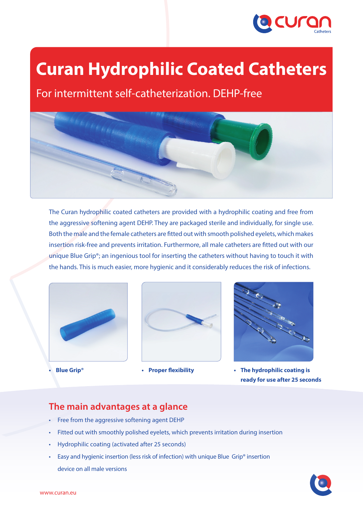

# **Curan Hydrophilic Coated Catheters**

For intermittent self-catheterization. DEHP-free



The Curan hydrophilic coated catheters are provided with a hydrophilic coating and free from the aggressive softening agent DEHP. They are packaged sterile and individually, for single use. Both the male and the female catheters are fitted out with smooth polished eyelets, which makes insertion risk-free and prevents irritation. Furthermore, all male catheters are fitted out with our unique Blue Grip®; an ingenious tool for inserting the catheters without having to touch it with the hands. This is much easier, more hygienic and it considerably reduces the risk of infections.



**• Blue Grip®**





**• Proper flexibility • The hydrophilic coating is ready for use after 25 seconds**

### **The main advantages at a glance**

- • Free from the aggressive softening agent DEHP
- Fitted out with smoothly polished eyelets, which prevents irritation during insertion
- Hydrophilic coating (activated after 25 seconds)
- Easy and hygienic insertion (less risk of infection) with unique Blue Grip® insertion device on all male versions